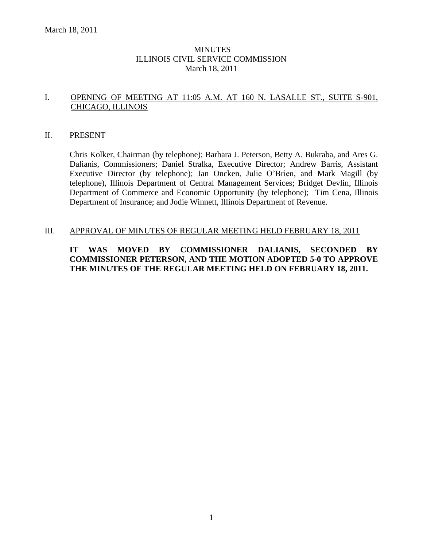### **MINUTES** ILLINOIS CIVIL SERVICE COMMISSION March 18, 2011

# I. OPENING OF MEETING AT 11:05 A.M. AT 160 N. LASALLE ST., SUITE S-901, CHICAGO, ILLINOIS

### II. PRESENT

Chris Kolker, Chairman (by telephone); Barbara J. Peterson, Betty A. Bukraba, and Ares G. Dalianis, Commissioners; Daniel Stralka, Executive Director; Andrew Barris, Assistant Executive Director (by telephone); Jan Oncken, Julie O'Brien, and Mark Magill (by telephone), Illinois Department of Central Management Services; Bridget Devlin, Illinois Department of Commerce and Economic Opportunity (by telephone); Tim Cena, Illinois Department of Insurance; and Jodie Winnett, Illinois Department of Revenue.

### III. APPROVAL OF MINUTES OF REGULAR MEETING HELD FEBRUARY 18, 2011

### **IT WAS MOVED BY COMMISSIONER DALIANIS, SECONDED BY COMMISSIONER PETERSON, AND THE MOTION ADOPTED 5-0 TO APPROVE THE MINUTES OF THE REGULAR MEETING HELD ON FEBRUARY 18, 2011.**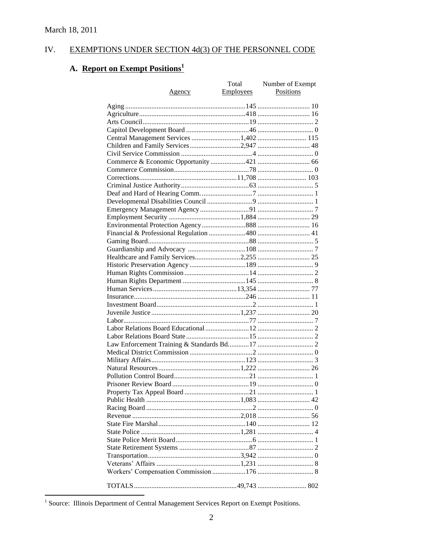#### EXEMPTIONS UNDER SECTION 4d(3) OF THE PERSONNEL CODE IV.

# A. Report on Exempt Positions<sup>1</sup>

|                                        | Total            | Number of Exempt |
|----------------------------------------|------------------|------------------|
| <u>Agency</u>                          | <b>Employees</b> | Positions        |
|                                        |                  |                  |
|                                        |                  |                  |
|                                        |                  |                  |
|                                        |                  |                  |
| Central Management Services 1,402  115 |                  |                  |
| Children and Family Services2,947  48  |                  |                  |
|                                        |                  |                  |
|                                        |                  |                  |
|                                        |                  |                  |
|                                        |                  |                  |
|                                        |                  |                  |
|                                        |                  |                  |
|                                        |                  |                  |
|                                        |                  |                  |
|                                        |                  |                  |
|                                        |                  |                  |
|                                        |                  |                  |
|                                        |                  |                  |
|                                        |                  |                  |
|                                        |                  |                  |
|                                        |                  |                  |
|                                        |                  |                  |
|                                        |                  |                  |
|                                        |                  |                  |
|                                        |                  |                  |
|                                        |                  |                  |
|                                        |                  |                  |
|                                        |                  |                  |
|                                        |                  |                  |
|                                        |                  |                  |
|                                        |                  |                  |
|                                        |                  |                  |
|                                        |                  |                  |
|                                        |                  |                  |
|                                        |                  |                  |
|                                        |                  |                  |
|                                        |                  |                  |
|                                        |                  |                  |
|                                        |                  |                  |
|                                        |                  |                  |
|                                        |                  |                  |
|                                        |                  |                  |
|                                        |                  |                  |
|                                        |                  |                  |
|                                        |                  |                  |
|                                        |                  |                  |
|                                        |                  |                  |
|                                        |                  |                  |
|                                        |                  |                  |

<sup>&</sup>lt;sup>1</sup> Source: Illinois Department of Central Management Services Report on Exempt Positions.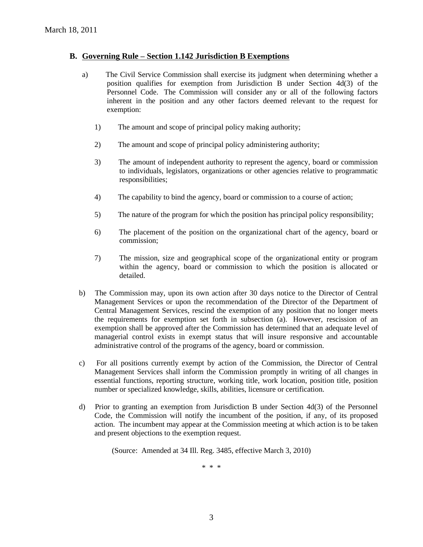#### **B. Governing Rule – Section 1.142 Jurisdiction B Exemptions**

- a) The Civil Service Commission shall exercise its judgment when determining whether a position qualifies for exemption from Jurisdiction B under Section 4d(3) of the Personnel Code. The Commission will consider any or all of the following factors inherent in the position and any other factors deemed relevant to the request for exemption:
	- 1) The amount and scope of principal policy making authority;
	- 2) The amount and scope of principal policy administering authority;
	- 3) The amount of independent authority to represent the agency, board or commission to individuals, legislators, organizations or other agencies relative to programmatic responsibilities;
	- 4) The capability to bind the agency, board or commission to a course of action;
	- 5) The nature of the program for which the position has principal policy responsibility;
	- 6) The placement of the position on the organizational chart of the agency, board or commission;
	- 7) The mission, size and geographical scope of the organizational entity or program within the agency, board or commission to which the position is allocated or detailed.
- b) The Commission may, upon its own action after 30 days notice to the Director of Central Management Services or upon the recommendation of the Director of the Department of Central Management Services, rescind the exemption of any position that no longer meets the requirements for exemption set forth in subsection (a). However, rescission of an exemption shall be approved after the Commission has determined that an adequate level of managerial control exists in exempt status that will insure responsive and accountable administrative control of the programs of the agency, board or commission.
- c) For all positions currently exempt by action of the Commission, the Director of Central Management Services shall inform the Commission promptly in writing of all changes in essential functions, reporting structure, working title, work location, position title, position number or specialized knowledge, skills, abilities, licensure or certification.
- d) Prior to granting an exemption from Jurisdiction B under Section 4d(3) of the Personnel Code, the Commission will notify the incumbent of the position, if any, of its proposed action. The incumbent may appear at the Commission meeting at which action is to be taken and present objections to the exemption request.

(Source: Amended at 34 Ill. Reg. 3485, effective March 3, 2010)

\* \* \*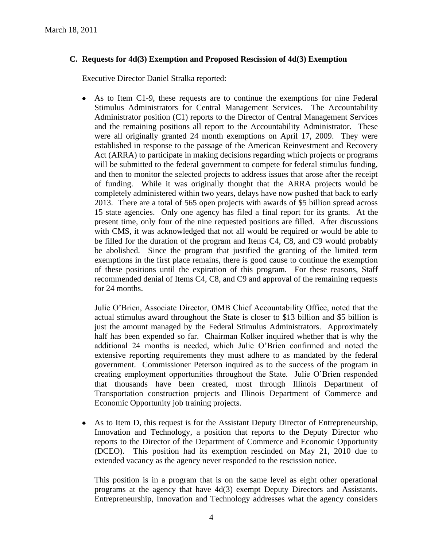# **C. Requests for 4d(3) Exemption and Proposed Rescission of 4d(3) Exemption**

Executive Director Daniel Stralka reported:

As to Item C1-9, these requests are to continue the exemptions for nine Federal Stimulus Administrators for Central Management Services. The Accountability Administrator position (C1) reports to the Director of Central Management Services and the remaining positions all report to the Accountability Administrator. These were all originally granted 24 month exemptions on April 17, 2009. They were established in response to the passage of the American Reinvestment and Recovery Act (ARRA) to participate in making decisions regarding which projects or programs will be submitted to the federal government to compete for federal stimulus funding, and then to monitor the selected projects to address issues that arose after the receipt of funding. While it was originally thought that the ARRA projects would be completely administered within two years, delays have now pushed that back to early 2013. There are a total of 565 open projects with awards of \$5 billion spread across 15 state agencies. Only one agency has filed a final report for its grants. At the present time, only four of the nine requested positions are filled. After discussions with CMS, it was acknowledged that not all would be required or would be able to be filled for the duration of the program and Items C4, C8, and C9 would probably be abolished. Since the program that justified the granting of the limited term exemptions in the first place remains, there is good cause to continue the exemption of these positions until the expiration of this program. For these reasons, Staff recommended denial of Items C4, C8, and C9 and approval of the remaining requests for 24 months.

Julie O'Brien, Associate Director, OMB Chief Accountability Office, noted that the actual stimulus award throughout the State is closer to \$13 billion and \$5 billion is just the amount managed by the Federal Stimulus Administrators. Approximately half has been expended so far. Chairman Kolker inquired whether that is why the additional 24 months is needed, which Julie O'Brien confirmed and noted the extensive reporting requirements they must adhere to as mandated by the federal government. Commissioner Peterson inquired as to the success of the program in creating employment opportunities throughout the State. Julie O'Brien responded that thousands have been created, most through Illinois Department of Transportation construction projects and Illinois Department of Commerce and Economic Opportunity job training projects.

As to Item D, this request is for the Assistant Deputy Director of Entrepreneurship,  $\bullet$ Innovation and Technology, a position that reports to the Deputy Director who reports to the Director of the Department of Commerce and Economic Opportunity (DCEO). This position had its exemption rescinded on May 21, 2010 due to extended vacancy as the agency never responded to the rescission notice.

This position is in a program that is on the same level as eight other operational programs at the agency that have 4d(3) exempt Deputy Directors and Assistants. Entrepreneurship, Innovation and Technology addresses what the agency considers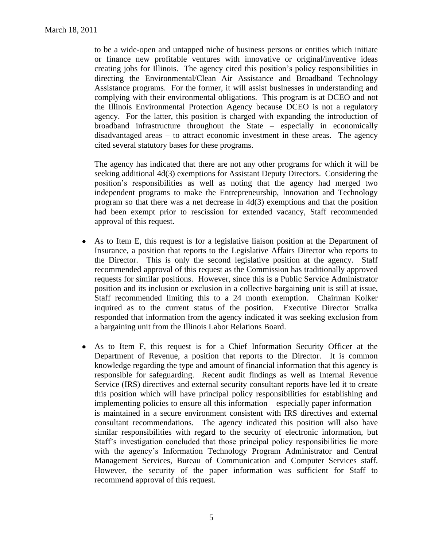to be a wide-open and untapped niche of business persons or entities which initiate or finance new profitable ventures with innovative or original/inventive ideas creating jobs for Illinois. The agency cited this position's policy responsibilities in directing the Environmental/Clean Air Assistance and Broadband Technology Assistance programs. For the former, it will assist businesses in understanding and complying with their environmental obligations. This program is at DCEO and not the Illinois Environmental Protection Agency because DCEO is not a regulatory agency. For the latter, this position is charged with expanding the introduction of broadband infrastructure throughout the State – especially in economically disadvantaged areas – to attract economic investment in these areas. The agency cited several statutory bases for these programs.

The agency has indicated that there are not any other programs for which it will be seeking additional 4d(3) exemptions for Assistant Deputy Directors. Considering the position's responsibilities as well as noting that the agency had merged two independent programs to make the Entrepreneurship, Innovation and Technology program so that there was a net decrease in 4d(3) exemptions and that the position had been exempt prior to rescission for extended vacancy, Staff recommended approval of this request.

- As to Item E, this request is for a legislative liaison position at the Department of  $\bullet$ Insurance, a position that reports to the Legislative Affairs Director who reports to the Director. This is only the second legislative position at the agency. Staff recommended approval of this request as the Commission has traditionally approved requests for similar positions. However, since this is a Public Service Administrator position and its inclusion or exclusion in a collective bargaining unit is still at issue, Staff recommended limiting this to a 24 month exemption. Chairman Kolker inquired as to the current status of the position. Executive Director Stralka responded that information from the agency indicated it was seeking exclusion from a bargaining unit from the Illinois Labor Relations Board.
- As to Item F, this request is for a Chief Information Security Officer at the  $\bullet$ Department of Revenue, a position that reports to the Director. It is common knowledge regarding the type and amount of financial information that this agency is responsible for safeguarding. Recent audit findings as well as Internal Revenue Service (IRS) directives and external security consultant reports have led it to create this position which will have principal policy responsibilities for establishing and implementing policies to ensure all this information – especially paper information – is maintained in a secure environment consistent with IRS directives and external consultant recommendations. The agency indicated this position will also have similar responsibilities with regard to the security of electronic information, but Staff's investigation concluded that those principal policy responsibilities lie more with the agency's Information Technology Program Administrator and Central Management Services, Bureau of Communication and Computer Services staff. However, the security of the paper information was sufficient for Staff to recommend approval of this request.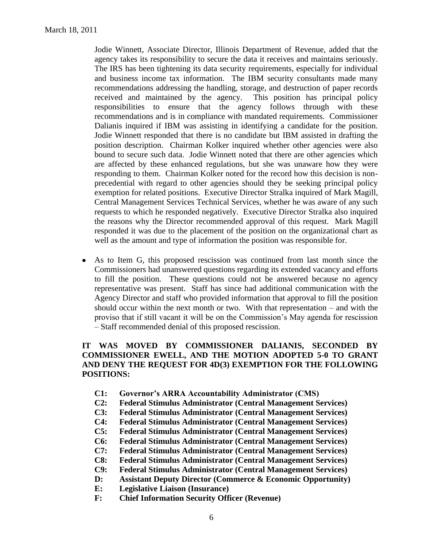Jodie Winnett, Associate Director, Illinois Department of Revenue, added that the agency takes its responsibility to secure the data it receives and maintains seriously. The IRS has been tightening its data security requirements, especially for individual and business income tax information. The IBM security consultants made many recommendations addressing the handling, storage, and destruction of paper records received and maintained by the agency. This position has principal policy responsibilities to ensure that the agency follows through with these recommendations and is in compliance with mandated requirements. Commissioner Dalianis inquired if IBM was assisting in identifying a candidate for the position. Jodie Winnett responded that there is no candidate but IBM assisted in drafting the position description. Chairman Kolker inquired whether other agencies were also bound to secure such data. Jodie Winnett noted that there are other agencies which are affected by these enhanced regulations, but she was unaware how they were responding to them. Chairman Kolker noted for the record how this decision is nonprecedential with regard to other agencies should they be seeking principal policy exemption for related positions. Executive Director Stralka inquired of Mark Magill, Central Management Services Technical Services, whether he was aware of any such requests to which he responded negatively. Executive Director Stralka also inquired the reasons why the Director recommended approval of this request. Mark Magill responded it was due to the placement of the position on the organizational chart as well as the amount and type of information the position was responsible for.

As to Item G, this proposed rescission was continued from last month since the  $\bullet$ Commissioners had unanswered questions regarding its extended vacancy and efforts to fill the position. These questions could not be answered because no agency representative was present. Staff has since had additional communication with the Agency Director and staff who provided information that approval to fill the position should occur within the next month or two. With that representation – and with the proviso that if still vacant it will be on the Commission's May agenda for rescission – Staff recommended denial of this proposed rescission.

# **IT WAS MOVED BY COMMISSIONER DALIANIS, SECONDED BY COMMISSIONER EWELL, AND THE MOTION ADOPTED 5-0 TO GRANT AND DENY THE REQUEST FOR 4D(3) EXEMPTION FOR THE FOLLOWING POSITIONS:**

- **C1: Governor's ARRA Accountability Administrator (CMS)**
- **C2: Federal Stimulus Administrator (Central Management Services)**
- **C3: Federal Stimulus Administrator (Central Management Services)**
- **C4: Federal Stimulus Administrator (Central Management Services)**
- **C5: Federal Stimulus Administrator (Central Management Services)**
- **C6: Federal Stimulus Administrator (Central Management Services)**
- **C7: Federal Stimulus Administrator (Central Management Services)**
- **C8: Federal Stimulus Administrator (Central Management Services)**
- **C9: Federal Stimulus Administrator (Central Management Services)**
- **D: Assistant Deputy Director (Commerce & Economic Opportunity)**
- **E: Legislative Liaison (Insurance)**
- **F: Chief Information Security Officer (Revenue)**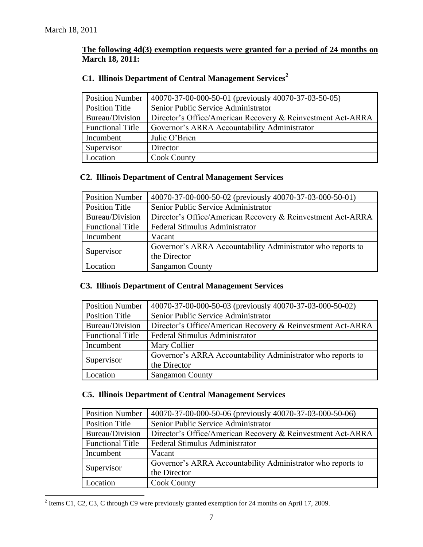# **The following 4d(3) exemption requests were granted for a period of 24 months on March 18, 2011:**

| <b>Position Number</b>  | 40070-37-00-000-50-01 (previously 40070-37-03-50-05)        |
|-------------------------|-------------------------------------------------------------|
| Position Title          | Senior Public Service Administrator                         |
| Bureau/Division         | Director's Office/American Recovery & Reinvestment Act-ARRA |
| <b>Functional Title</b> | Governor's ARRA Accountability Administrator                |
| Incumbent               | Julie O'Brien                                               |
| Supervisor              | Director                                                    |
| Location                | <b>Cook County</b>                                          |

# **C1. Illinois Department of Central Management Services<sup>2</sup>**

# **C2. Illinois Department of Central Management Services**

| <b>Position Number</b>  | 40070-37-00-000-50-02 (previously 40070-37-03-000-50-01)    |
|-------------------------|-------------------------------------------------------------|
| <b>Position Title</b>   | Senior Public Service Administrator                         |
| Bureau/Division         | Director's Office/American Recovery & Reinvestment Act-ARRA |
| <b>Functional Title</b> | Federal Stimulus Administrator                              |
| Incumbent               | Vacant                                                      |
| Supervisor              | Governor's ARRA Accountability Administrator who reports to |
|                         | the Director                                                |
| Location                | <b>Sangamon County</b>                                      |

# **C3. Illinois Department of Central Management Services**

| <b>Position Number</b>  | 40070-37-00-000-50-03 (previously 40070-37-03-000-50-02)    |
|-------------------------|-------------------------------------------------------------|
| <b>Position Title</b>   | Senior Public Service Administrator                         |
| Bureau/Division         | Director's Office/American Recovery & Reinvestment Act-ARRA |
| <b>Functional Title</b> | Federal Stimulus Administrator                              |
| Incumbent               | Mary Collier                                                |
| Supervisor              | Governor's ARRA Accountability Administrator who reports to |
|                         | the Director                                                |
| Location                | <b>Sangamon County</b>                                      |

# **C5. Illinois Department of Central Management Services**

| <b>Position Number</b>  | 40070-37-00-000-50-06 (previously 40070-37-03-000-50-06)    |
|-------------------------|-------------------------------------------------------------|
| <b>Position Title</b>   | Senior Public Service Administrator                         |
| Bureau/Division         | Director's Office/American Recovery & Reinvestment Act-ARRA |
| <b>Functional Title</b> | Federal Stimulus Administrator                              |
| Incumbent               | Vacant                                                      |
| Supervisor              | Governor's ARRA Accountability Administrator who reports to |
|                         | the Director                                                |
| Location                | <b>Cook County</b>                                          |

<sup>&</sup>lt;sup>2</sup> Items C1, C2, C3, C through C9 were previously granted exemption for 24 months on April 17, 2009.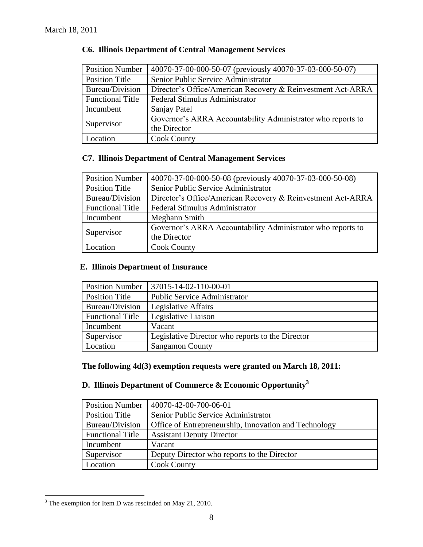| <b>Position Number</b>  | 40070-37-00-000-50-07 (previously 40070-37-03-000-50-07)    |
|-------------------------|-------------------------------------------------------------|
| <b>Position Title</b>   | Senior Public Service Administrator                         |
| Bureau/Division         | Director's Office/American Recovery & Reinvestment Act-ARRA |
| <b>Functional Title</b> | Federal Stimulus Administrator                              |
| Incumbent               | Sanjay Patel                                                |
| Supervisor              | Governor's ARRA Accountability Administrator who reports to |
|                         | the Director                                                |
| Location                | <b>Cook County</b>                                          |

# **C6. Illinois Department of Central Management Services**

# **C7. Illinois Department of Central Management Services**

| <b>Position Number</b>  | 40070-37-00-000-50-08 (previously 40070-37-03-000-50-08)    |
|-------------------------|-------------------------------------------------------------|
| Position Title          | Senior Public Service Administrator                         |
| Bureau/Division         | Director's Office/American Recovery & Reinvestment Act-ARRA |
| <b>Functional Title</b> | Federal Stimulus Administrator                              |
| Incumbent               | Meghann Smith                                               |
| Supervisor              | Governor's ARRA Accountability Administrator who reports to |
|                         | the Director                                                |
| Location                | <b>Cook County</b>                                          |

# **E. Illinois Department of Insurance**

| <b>Position Number</b>  | 37015-14-02-110-00-01                            |
|-------------------------|--------------------------------------------------|
| Position Title          | <b>Public Service Administrator</b>              |
| Bureau/Division         | Legislative Affairs                              |
| <b>Functional Title</b> | Legislative Liaison                              |
| Incumbent               | Vacant                                           |
| Supervisor              | Legislative Director who reports to the Director |
| Location                | <b>Sangamon County</b>                           |

# **The following 4d(3) exemption requests were granted on March 18, 2011:**

# **D. Illinois Department of Commerce & Economic Opportunity<sup>3</sup>**

| <b>Position Number</b>  | 40070-42-00-700-06-01                                 |
|-------------------------|-------------------------------------------------------|
| Position Title          | Senior Public Service Administrator                   |
| Bureau/Division         | Office of Entrepreneurship, Innovation and Technology |
| <b>Functional Title</b> | <b>Assistant Deputy Director</b>                      |
| Incumbent               | Vacant                                                |
| Supervisor              | Deputy Director who reports to the Director           |
| Location                | <b>Cook County</b>                                    |

 $\overline{a}$  $3$  The exemption for Item D was rescinded on May 21, 2010.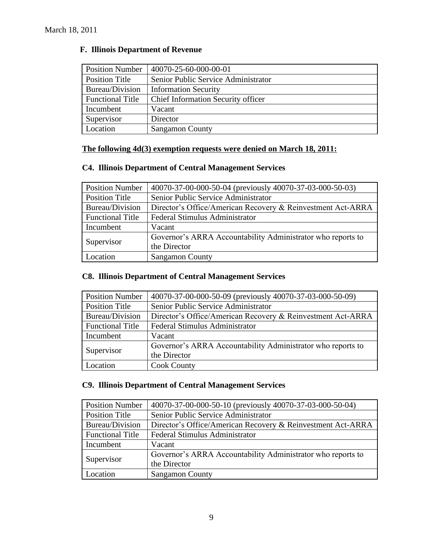| <b>Position Number</b>  | 40070-25-60-000-00-01               |
|-------------------------|-------------------------------------|
| Position Title          | Senior Public Service Administrator |
| Bureau/Division         | <b>Information Security</b>         |
| <b>Functional Title</b> | Chief Information Security officer  |
| Incumbent               | Vacant                              |
| Supervisor              | Director                            |
| Location                | <b>Sangamon County</b>              |

### **F. Illinois Department of Revenue**

# **The following 4d(3) exemption requests were denied on March 18, 2011:**

# **C4. Illinois Department of Central Management Services**

| <b>Position Number</b>  | 40070-37-00-000-50-04 (previously 40070-37-03-000-50-03)    |
|-------------------------|-------------------------------------------------------------|
| <b>Position Title</b>   | Senior Public Service Administrator                         |
| Bureau/Division         | Director's Office/American Recovery & Reinvestment Act-ARRA |
| <b>Functional Title</b> | Federal Stimulus Administrator                              |
| Incumbent               | Vacant                                                      |
| Supervisor              | Governor's ARRA Accountability Administrator who reports to |
|                         | the Director                                                |
| Location                | <b>Sangamon County</b>                                      |

# **C8. Illinois Department of Central Management Services**

| <b>Position Number</b>  | 40070-37-00-000-50-09 (previously 40070-37-03-000-50-09)    |
|-------------------------|-------------------------------------------------------------|
| Position Title          | Senior Public Service Administrator                         |
| Bureau/Division         | Director's Office/American Recovery & Reinvestment Act-ARRA |
| <b>Functional Title</b> | Federal Stimulus Administrator                              |
| Incumbent               | Vacant                                                      |
| Supervisor              | Governor's ARRA Accountability Administrator who reports to |
|                         | the Director                                                |
| Location                | <b>Cook County</b>                                          |

# **C9. Illinois Department of Central Management Services**

| <b>Position Number</b>  | 40070-37-00-000-50-10 (previously 40070-37-03-000-50-04)    |  |  |
|-------------------------|-------------------------------------------------------------|--|--|
| <b>Position Title</b>   | Senior Public Service Administrator                         |  |  |
| Bureau/Division         | Director's Office/American Recovery & Reinvestment Act-ARRA |  |  |
| <b>Functional Title</b> | Federal Stimulus Administrator                              |  |  |
| Incumbent               | Vacant                                                      |  |  |
|                         | Governor's ARRA Accountability Administrator who reports to |  |  |
| Supervisor              | the Director                                                |  |  |
| Location                | <b>Sangamon County</b>                                      |  |  |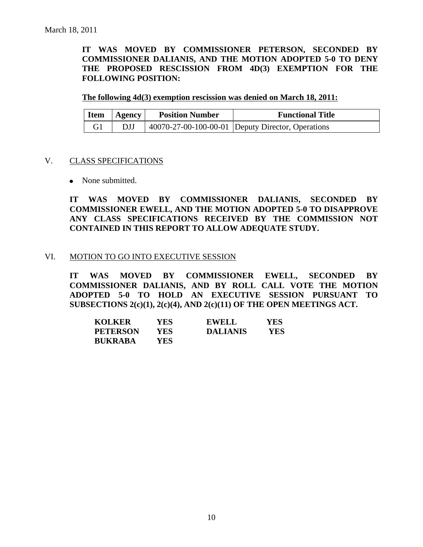**IT WAS MOVED BY COMMISSIONER PETERSON, SECONDED BY COMMISSIONER DALIANIS, AND THE MOTION ADOPTED 5-0 TO DENY THE PROPOSED RESCISSION FROM 4D(3) EXEMPTION FOR THE FOLLOWING POSITION:**

**The following 4d(3) exemption rescission was denied on March 18, 2011:**

| <b>Item</b> | Agency | <b>Position Number</b> | <b>Functional Title</b>                           |
|-------------|--------|------------------------|---------------------------------------------------|
|             |        |                        | 40070-27-00-100-00-01 Deputy Director, Operations |

#### V. CLASS SPECIFICATIONS

• None submitted.

**IT WAS MOVED BY COMMISSIONER DALIANIS, SECONDED BY COMMISSIONER EWELL, AND THE MOTION ADOPTED 5-0 TO DISAPPROVE ANY CLASS SPECIFICATIONS RECEIVED BY THE COMMISSION NOT CONTAINED IN THIS REPORT TO ALLOW ADEQUATE STUDY.** 

### VI. MOTION TO GO INTO EXECUTIVE SESSION

**IT WAS MOVED BY COMMISSIONER EWELL, SECONDED BY COMMISSIONER DALIANIS, AND BY ROLL CALL VOTE THE MOTION ADOPTED 5-0 TO HOLD AN EXECUTIVE SESSION PURSUANT TO SUBSECTIONS 2(c)(1), 2(c)(4), AND 2(c)(11) OF THE OPEN MEETINGS ACT.** 

| <b>KOLKER</b>   | YES  | <b>EWELL</b>    | YES |
|-----------------|------|-----------------|-----|
| <b>PETERSON</b> | YES  | <b>DALIANIS</b> | YES |
| <b>BUKRABA</b>  | YES. |                 |     |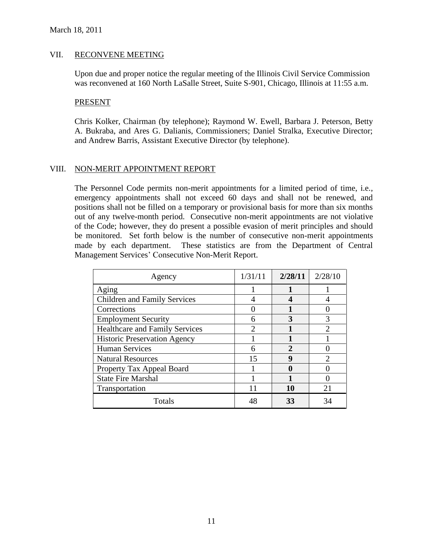#### VII. RECONVENE MEETING

Upon due and proper notice the regular meeting of the Illinois Civil Service Commission was reconvened at 160 North LaSalle Street, Suite S-901, Chicago, Illinois at 11:55 a.m.

#### PRESENT

Chris Kolker, Chairman (by telephone); Raymond W. Ewell, Barbara J. Peterson, Betty A. Bukraba, and Ares G. Dalianis, Commissioners; Daniel Stralka, Executive Director; and Andrew Barris, Assistant Executive Director (by telephone).

### VIII. NON-MERIT APPOINTMENT REPORT

The Personnel Code permits non-merit appointments for a limited period of time, i.e., emergency appointments shall not exceed 60 days and shall not be renewed, and positions shall not be filled on a temporary or provisional basis for more than six months out of any twelve-month period. Consecutive non-merit appointments are not violative of the Code; however, they do present a possible evasion of merit principles and should be monitored. Set forth below is the number of consecutive non-merit appointments made by each department. These statistics are from the Department of Central Management Services' Consecutive Non-Merit Report.

| Agency                                | 1/31/11       | 2/28/11 | 2/28/10       |
|---------------------------------------|---------------|---------|---------------|
| Aging                                 |               |         |               |
| <b>Children and Family Services</b>   |               | 4       |               |
| Corrections                           |               |         |               |
| <b>Employment Security</b>            |               |         |               |
| <b>Healthcare and Family Services</b> | $\mathcal{D}$ |         | $\mathcal{D}$ |
| <b>Historic Preservation Agency</b>   |               |         |               |
| <b>Human Services</b>                 |               | 2       |               |
| <b>Natural Resources</b>              | 15            | 9       |               |
| Property Tax Appeal Board             |               |         |               |
| <b>State Fire Marshal</b>             |               |         |               |
| Transportation                        |               | 10      | 21            |
| Totals                                |               | 33      |               |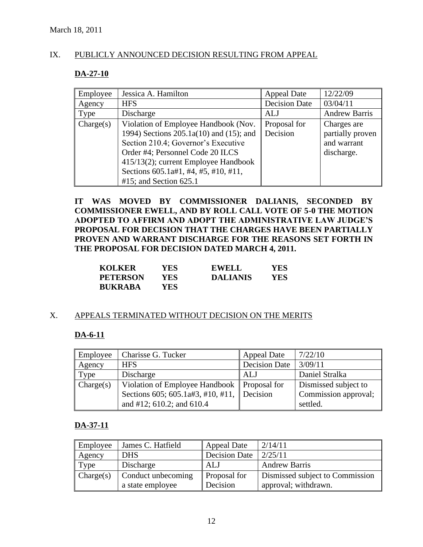# IX. PUBLICLY ANNOUNCED DECISION RESULTING FROM APPEAL

### **DA-27-10**

| Employee  | Jessica A. Hamilton                                                                                                                                                                                                                                                            | Appeal Date              | 12/22/09                                                     |
|-----------|--------------------------------------------------------------------------------------------------------------------------------------------------------------------------------------------------------------------------------------------------------------------------------|--------------------------|--------------------------------------------------------------|
| Agency    | <b>HFS</b>                                                                                                                                                                                                                                                                     | <b>Decision Date</b>     | 03/04/11                                                     |
| Type      | Discharge                                                                                                                                                                                                                                                                      | <b>ALJ</b>               | <b>Andrew Barris</b>                                         |
| Change(s) | Violation of Employee Handbook (Nov.<br>1994) Sections 205.1a(10) and (15); and<br>Section 210.4; Governor's Executive<br>Order #4; Personnel Code 20 ILCS<br>415/13(2); current Employee Handbook<br>Sections $605.1a\#1, \#4, \#5, \#10, \#11,$<br>$#15$ ; and Section 625.1 | Proposal for<br>Decision | Charges are<br>partially proven<br>and warrant<br>discharge. |

**IT WAS MOVED BY COMMISSIONER DALIANIS, SECONDED BY COMMISSIONER EWELL, AND BY ROLL CALL VOTE OF 5-0 THE MOTION ADOPTED TO AFFIRM AND ADOPT THE ADMINISTRATIVE LAW JUDGE'S PROPOSAL FOR DECISION THAT THE CHARGES HAVE BEEN PARTIALLY PROVEN AND WARRANT DISCHARGE FOR THE REASONS SET FORTH IN THE PROPOSAL FOR DECISION DATED MARCH 4, 2011.** 

| <b>KOLKER</b>   | YES.  | <b>EWELL</b>    | YES |
|-----------------|-------|-----------------|-----|
| <b>PETERSON</b> | YES-  | <b>DALIANIS</b> | YES |
| <b>BUKRABA</b>  | YES ! |                 |     |

### X. APPEALS TERMINATED WITHOUT DECISION ON THE MERITS

# **DA-6-11**

| Employee  | Charisse G. Tucker                            | <b>Appeal Date</b> | 7/22/10              |
|-----------|-----------------------------------------------|--------------------|----------------------|
| Agency    | <b>HFS</b>                                    | Decision Date      | 3/09/11              |
| Type      | Discharge                                     | ALJ                | Daniel Stralka       |
| Change(s) | Violation of Employee Handbook   Proposal for |                    | Dismissed subject to |
|           | Sections 605; 605.1a#3, #10, #11, Decision    |                    | Commission approval; |
|           | and #12; $610.2$ ; and $610.4$                |                    | settled.             |

# **DA-37-11**

| Employee  | James C. Hatfield  | Appeal Date          | 2/14/11                         |
|-----------|--------------------|----------------------|---------------------------------|
| Agency    | <b>DHS</b>         | <b>Decision Date</b> | 2/25/11                         |
| Type      | Discharge          | <b>ALJ</b>           | <b>Andrew Barris</b>            |
| Change(s) | Conduct unbecoming | <b>Proposal</b> for  | Dismissed subject to Commission |
|           | a state employee   | Decision             | approval; withdrawn.            |